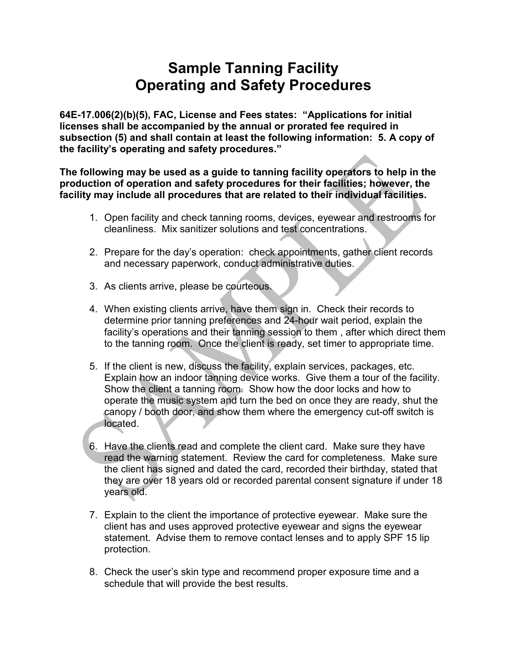## Sample Tanning Facility Operating and Safety Procedures

64E-17.006(2)(b)(5), FAC, License and Fees states: "Applications for initial licenses shall be accompanied by the annual or prorated fee required in subsection (5) and shall contain at least the following information: 5. A copy of the facility's operating and safety procedures."

The following may be used as a guide to tanning facility operators to help in the production of operation and safety procedures for their facilities; however, the facility may include all procedures that are related to their individual facilities.

- 1. Open facility and check tanning rooms, devices, eyewear and restrooms for cleanliness. Mix sanitizer solutions and test concentrations.
- 2. Prepare for the day's operation: check appointments, gather client records and necessary paperwork, conduct administrative duties.
- 3. As clients arrive, please be courteous.
- 4. When existing clients arrive, have them sign in. Check their records to determine prior tanning preferences and 24-hour wait period, explain the facility's operations and their tanning session to them , after which direct them to the tanning room. Once the client is ready, set timer to appropriate time.
- 5. If the client is new, discuss the facility, explain services, packages, etc. Explain how an indoor tanning device works. Give them a tour of the facility. Show the client a tanning room. Show how the door locks and how to operate the music system and turn the bed on once they are ready, shut the canopy / booth door, and show them where the emergency cut-off switch is located.
- 6. Have the clients read and complete the client card. Make sure they have read the warning statement. Review the card for completeness. Make sure the client has signed and dated the card, recorded their birthday, stated that they are over 18 years old or recorded parental consent signature if under 18 years old.
- 7. Explain to the client the importance of protective eyewear. Make sure the client has and uses approved protective eyewear and signs the eyewear statement. Advise them to remove contact lenses and to apply SPF 15 lip protection.
- 8. Check the user's skin type and recommend proper exposure time and a schedule that will provide the best results.